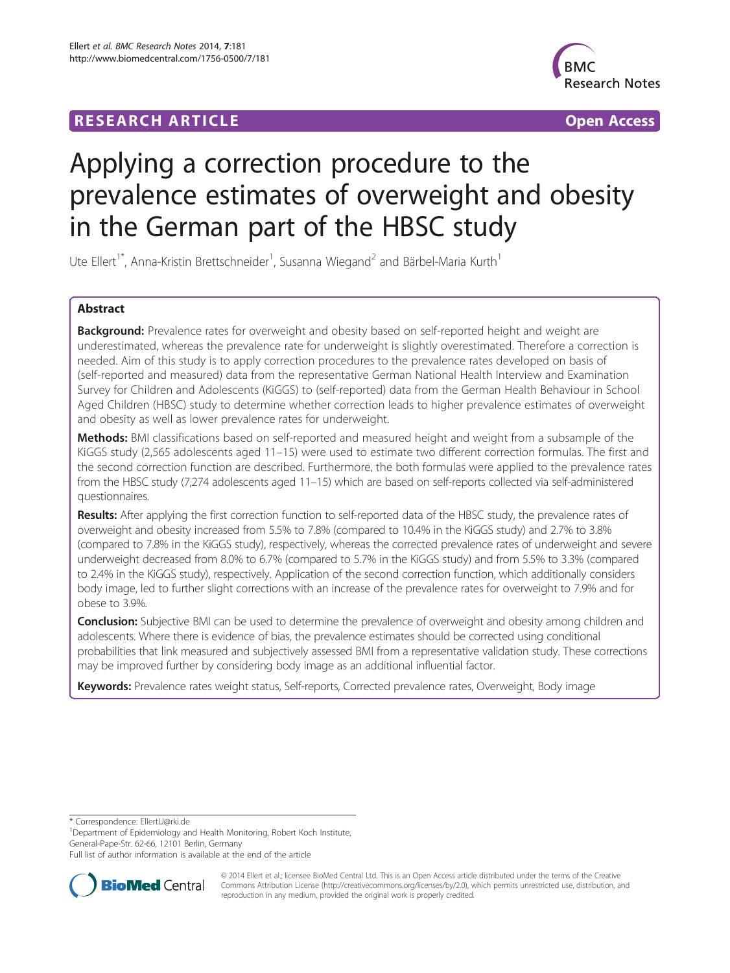## **RESEARCH ARTICLE Example 2014 The Contract of Contract Contract Contract Contract Contract Contract Contract Contract Contract Contract Contract Contract Contract Contract Contract Contract Contract Contract Contract Co**



# Applying a correction procedure to the prevalence estimates of overweight and obesity in the German part of the HBSC study

Ute Ellert<sup>1\*</sup>, Anna-Kristin Brettschneider<sup>1</sup>, Susanna Wiegand<sup>2</sup> and Bärbel-Maria Kurth<sup>1</sup>

## Abstract

Background: Prevalence rates for overweight and obesity based on self-reported height and weight are underestimated, whereas the prevalence rate for underweight is slightly overestimated. Therefore a correction is needed. Aim of this study is to apply correction procedures to the prevalence rates developed on basis of (self-reported and measured) data from the representative German National Health Interview and Examination Survey for Children and Adolescents (KiGGS) to (self-reported) data from the German Health Behaviour in School Aged Children (HBSC) study to determine whether correction leads to higher prevalence estimates of overweight and obesity as well as lower prevalence rates for underweight.

**Methods:** BMI classifications based on self-reported and measured height and weight from a subsample of the KiGGS study (2,565 adolescents aged 11–15) were used to estimate two different correction formulas. The first and the second correction function are described. Furthermore, the both formulas were applied to the prevalence rates from the HBSC study (7,274 adolescents aged 11–15) which are based on self-reports collected via self-administered questionnaires.

Results: After applying the first correction function to self-reported data of the HBSC study, the prevalence rates of overweight and obesity increased from 5.5% to 7.8% (compared to 10.4% in the KiGGS study) and 2.7% to 3.8% (compared to 7.8% in the KiGGS study), respectively, whereas the corrected prevalence rates of underweight and severe underweight decreased from 8.0% to 6.7% (compared to 5.7% in the KiGGS study) and from 5.5% to 3.3% (compared to 2.4% in the KiGGS study), respectively. Application of the second correction function, which additionally considers body image, led to further slight corrections with an increase of the prevalence rates for overweight to 7.9% and for obese to 3.9%.

Conclusion: Subjective BMI can be used to determine the prevalence of overweight and obesity among children and adolescents. Where there is evidence of bias, the prevalence estimates should be corrected using conditional probabilities that link measured and subjectively assessed BMI from a representative validation study. These corrections may be improved further by considering body image as an additional influential factor.

Keywords: Prevalence rates weight status, Self-reports, Corrected prevalence rates, Overweight, Body image

\* Correspondence: [EllertU@rki.de](mailto:EllertU@rki.de) <sup>1</sup>

<sup>1</sup>Department of Epidemiology and Health Monitoring, Robert Koch Institute, General-Pape-Str. 62-66, 12101 Berlin, Germany

Full list of author information is available at the end of the article



© 2014 Ellert et al.; licensee BioMed Central Ltd. This is an Open Access article distributed under the terms of the Creative Commons Attribution License [\(http://creativecommons.org/licenses/by/2.0\)](http://creativecommons.org/licenses/by/2.0), which permits unrestricted use, distribution, and reproduction in any medium, provided the original work is properly credited.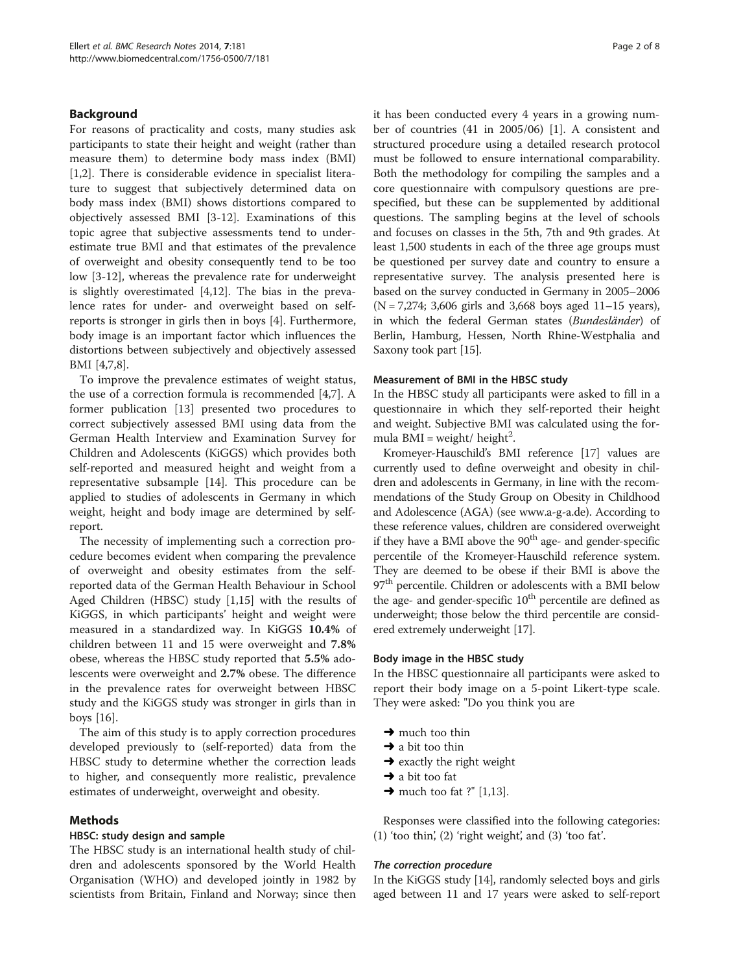## Background

For reasons of practicality and costs, many studies ask participants to state their height and weight (rather than measure them) to determine body mass index (BMI) [[1,2\]](#page-7-0). There is considerable evidence in specialist literature to suggest that subjectively determined data on body mass index (BMI) shows distortions compared to objectively assessed BMI [[3-12](#page-7-0)]. Examinations of this topic agree that subjective assessments tend to underestimate true BMI and that estimates of the prevalence of overweight and obesity consequently tend to be too low [[3-12](#page-7-0)], whereas the prevalence rate for underweight is slightly overestimated [\[4,12](#page-7-0)]. The bias in the prevalence rates for under- and overweight based on selfreports is stronger in girls then in boys [\[4](#page-7-0)]. Furthermore, body image is an important factor which influences the distortions between subjectively and objectively assessed BMI [[4,7,8](#page-7-0)].

To improve the prevalence estimates of weight status, the use of a correction formula is recommended [\[4,7](#page-7-0)]. A former publication [\[13](#page-7-0)] presented two procedures to correct subjectively assessed BMI using data from the German Health Interview and Examination Survey for Children and Adolescents (KiGGS) which provides both self-reported and measured height and weight from a representative subsample [[14](#page-7-0)]. This procedure can be applied to studies of adolescents in Germany in which weight, height and body image are determined by selfreport.

The necessity of implementing such a correction procedure becomes evident when comparing the prevalence of overweight and obesity estimates from the selfreported data of the German Health Behaviour in School Aged Children (HBSC) study [[1,15](#page-7-0)] with the results of KiGGS, in which participants' height and weight were measured in a standardized way. In KiGGS 10.4% of children between 11 and 15 were overweight and 7.8% obese, whereas the HBSC study reported that 5.5% adolescents were overweight and 2.7% obese. The difference in the prevalence rates for overweight between HBSC study and the KiGGS study was stronger in girls than in boys [\[16](#page-7-0)].

The aim of this study is to apply correction procedures developed previously to (self-reported) data from the HBSC study to determine whether the correction leads to higher, and consequently more realistic, prevalence estimates of underweight, overweight and obesity.

## Methods

## HBSC: study design and sample

The HBSC study is an international health study of children and adolescents sponsored by the World Health Organisation (WHO) and developed jointly in 1982 by scientists from Britain, Finland and Norway; since then it has been conducted every 4 years in a growing number of countries (41 in 2005/06) [[1](#page-7-0)]. A consistent and structured procedure using a detailed research protocol must be followed to ensure international comparability. Both the methodology for compiling the samples and a core questionnaire with compulsory questions are prespecified, but these can be supplemented by additional questions. The sampling begins at the level of schools and focuses on classes in the 5th, 7th and 9th grades. At least 1,500 students in each of the three age groups must be questioned per survey date and country to ensure a representative survey. The analysis presented here is based on the survey conducted in Germany in 2005–2006  $(N = 7,274; 3,606$  girls and 3,668 boys aged 11–15 years), in which the federal German states (Bundesländer) of Berlin, Hamburg, Hessen, North Rhine-Westphalia and Saxony took part [\[15](#page-7-0)].

## Measurement of BMI in the HBSC study

In the HBSC study all participants were asked to fill in a questionnaire in which they self-reported their height and weight. Subjective BMI was calculated using the formula  $BMI = weight/ height^2$ .

Kromeyer-Hauschild's BMI reference [[17\]](#page-7-0) values are currently used to define overweight and obesity in children and adolescents in Germany, in line with the recommendations of the Study Group on Obesity in Childhood and Adolescence (AGA) (see [www.a-g-a.de\)](http://www.a-g-a.de/). According to these reference values, children are considered overweight if they have a BMI above the  $90<sup>th</sup>$  age- and gender-specific percentile of the Kromeyer-Hauschild reference system. They are deemed to be obese if their BMI is above the 97<sup>th</sup> percentile. Children or adolescents with a BMI below the age- and gender-specific  $10<sup>th</sup>$  percentile are defined as underweight; those below the third percentile are considered extremely underweight [\[17\]](#page-7-0).

## Body image in the HBSC study

In the HBSC questionnaire all participants were asked to report their body image on a 5-point Likert-type scale. They were asked: "Do you think you are

- $\rightarrow$  much too thin
- $\rightarrow$  a bit too thin
- $\rightarrow$  exactly the right weight
- $\rightarrow$  a bit too fat
- $\rightarrow$  much too fat ?" [[1](#page-7-0),[13](#page-7-0)].

Responses were classified into the following categories: (1) 'too thin', (2) 'right weight', and (3) 'too fat'.

## The correction procedure

In the KiGGS study [\[14\]](#page-7-0), randomly selected boys and girls aged between 11 and 17 years were asked to self-report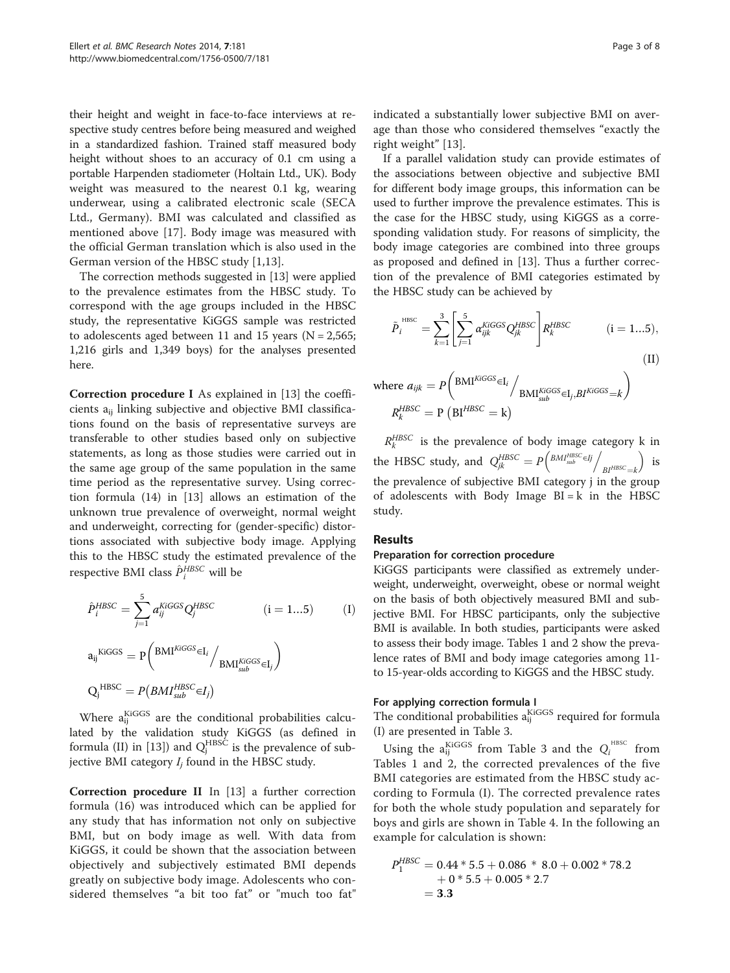their height and weight in face-to-face interviews at respective study centres before being measured and weighed in a standardized fashion. Trained staff measured body height without shoes to an accuracy of 0.1 cm using a portable Harpenden stadiometer (Holtain Ltd., UK). Body weight was measured to the nearest 0.1 kg, wearing underwear, using a calibrated electronic scale (SECA Ltd., Germany). BMI was calculated and classified as mentioned above [\[17](#page-7-0)]. Body image was measured with the official German translation which is also used in the German version of the HBSC study [[1,13](#page-7-0)].

The correction methods suggested in [\[13\]](#page-7-0) were applied to the prevalence estimates from the HBSC study. To correspond with the age groups included in the HBSC study, the representative KiGGS sample was restricted to adolescents aged between 11 and 15 years ( $N = 2,565$ ; 1,216 girls and 1,349 boys) for the analyses presented here.

Correction procedure I As explained in [\[13](#page-7-0)] the coefficients  $a_{ii}$  linking subjective and objective BMI classifications found on the basis of representative surveys are transferable to other studies based only on subjective statements, as long as those studies were carried out in the same age group of the same population in the same time period as the representative survey. Using correction formula (14) in [[13\]](#page-7-0) allows an estimation of the unknown true prevalence of overweight, normal weight and underweight, correcting for (gender-specific) distortions associated with subjective body image. Applying this to the HBSC study the estimated prevalence of the respective BMI class  $\hat{P}^{\textit{HBSC}}_{i}$  will be

$$
\hat{P}_{i}^{HBSC} = \sum_{j=1}^{5} a_{ij}^{KIGGS} Q_{j}^{HBSC}
$$
 (i = 1...5) (I)  
\n
$$
a_{ij}^{KIGGS} = P \left( \frac{\text{BMI}^{KIGGS} \in I_i}{\text{BMI}^{KIGGS}_{sub}} \in I_j \right)
$$
  
\n
$$
Q_{j}^{HBSC} = P \left( \frac{\text{BMI}^{HBSC}}{\text{sub}} \in I_j \right)
$$

Where a<sub>ij</sub> KiGGS are the conditional probabilities calculated by the validation study KiGGS (as defined in formula (II) in [\[13](#page-7-0)]) and  $Q_j^{\text{HBSC}}$  is the prevalence of subjective BMI category  $I_i$  found in the HBSC study.

Correction procedure II In [[13](#page-7-0)] a further correction formula (16) was introduced which can be applied for any study that has information not only on subjective BMI, but on body image as well. With data from KiGGS, it could be shown that the association between objectively and subjectively estimated BMI depends greatly on subjective body image. Adolescents who considered themselves "a bit too fat" or "much too fat" indicated a substantially lower subjective BMI on average than those who considered themselves "exactly the right weight" [\[13\]](#page-7-0).

If a parallel validation study can provide estimates of the associations between objective and subjective BMI for different body image groups, this information can be used to further improve the prevalence estimates. This is the case for the HBSC study, using KiGGS as a corresponding validation study. For reasons of simplicity, the body image categories are combined into three groups as proposed and defined in [[13](#page-7-0)]. Thus a further correction of the prevalence of BMI categories estimated by the HBSC study can be achieved by

$$
\tilde{P}_i^{\text{HISC}} = \sum_{k=1}^3 \left[ \sum_{j=1}^5 \alpha_{ijk}^{KIGGS} Q_{jk}^{HBSC} \right] R_k^{HBSC} \qquad (i = 1...5),
$$
\n(II)

where 
$$
a_{ijk} = P\left(\frac{\text{BMI}^{KiGGS} \in I_i}{\text{BMI}^{KiGGS}_{sub}} \in I_j, BI^{KiGGS} = k\right)
$$
  
 $R_k^{HBSC} = P\left(BI^{HBSC} = k\right)$ 

 $R_k^{HBSC}$  is the prevalence of body image category k in the HBSC study, and  $Q_{jk}^{HBSC} = P \left( \frac{B M I_{sub}^{HBSC} \in Ij}{B M_{sub}^{HBSC}} \right)$  $\left(\frac{BMI_{sub}^{HBSC}}{BI^{HBSC}}=k\right)$  is the prevalence of subjective BMI category j in the group of adolescents with Body Image  $BI = k$  in the HBSC study.

## Results

## Preparation for correction procedure

KiGGS participants were classified as extremely underweight, underweight, overweight, obese or normal weight on the basis of both objectively measured BMI and subjective BMI. For HBSC participants, only the subjective BMI is available. In both studies, participants were asked to assess their body image. Tables [1](#page-3-0) and [2](#page-3-0) show the prevalence rates of BMI and body image categories among 11 to 15-year-olds according to KiGGS and the HBSC study.

## For applying correction formula I

The conditional probabilities  $a_{ij}^{KIGGS}$  required for formula (I) are presented in Table [3](#page-4-0).

Using the  $a_{ij}^{KIGGS}$  from Table [3](#page-4-0) and the  $Q_i^{H B SC}$  from Tables [1](#page-3-0) and [2](#page-3-0), the corrected prevalences of the five BMI categories are estimated from the HBSC study according to Formula (I). The corrected prevalence rates for both the whole study population and separately for boys and girls are shown in Table [4](#page-4-0). In the following an example for calculation is shown:

$$
P_1^{HBSC} = 0.44 * 5.5 + 0.086 * 8.0 + 0.002 * 78.2
$$
  
+ 0 \* 5.5 + 0.005 \* 2.7  
= 3.3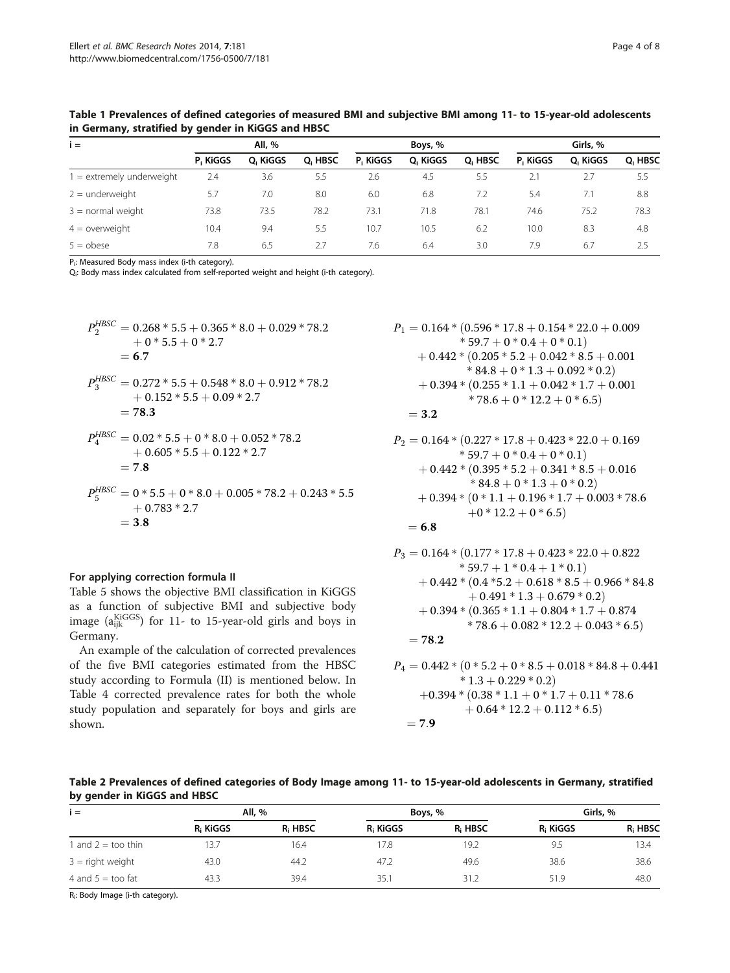| $i =$                       |                      | All, %   |                     |          | Boys, %  |                     | Girls, % |          |                     |  |  |
|-----------------------------|----------------------|----------|---------------------|----------|----------|---------------------|----------|----------|---------------------|--|--|
|                             | P <sub>i</sub> KiGGS | O. KIGGS | O <sub>i</sub> HBSC | P. KIGGS | O. KiGGS | Q <sub>i</sub> HBSC | P. KIGGS | O. KiGGS | Q <sub>i</sub> HBSC |  |  |
| $1 =$ extremely underweight | 2.4                  | 3.6      | 5.5                 | 2.6      | 4.5      | 5.5                 | 2.1      | 2.7      | 5.5                 |  |  |
| $2 =$ underweight           | 5.7                  | 7.0      | 8.0                 | 6.0      | 6.8      | 7.2                 | 5.4      | 7.1      | 8.8                 |  |  |
| $3 =$ normal weight         | 73.8                 | 73.5     | 78.2                | 73.1     | 71.8     | 78.1                | 74.6     | 75.2     | 78.3                |  |  |
| $4 =$ overweight            | 10.4                 | 9.4      | 5.5                 | 10.7     | 10.5     | 6.2                 | 10.0     | 8.3      | 4.8                 |  |  |
| $5 =$ obese                 | 7.8                  | 6.5      | 2.7                 | 7.6      | 6.4      | 3.0                 | 7.9      | 6.7      | 2.5                 |  |  |

<span id="page-3-0"></span>Table 1 Prevalences of defined categories of measured BMI and subjective BMI among 11- to 15-year-old adolescents in Germany, stratified by gender in KiGGS and HBSC

Pi : Measured Body mass index (i-th category).

Qi : Body mass index calculated from self-reported weight and height (i-th category).

$$
P_2^{HBSC} = 0.268 * 5.5 + 0.365 * 8.0 + 0.029 * 78.2
$$
  
\n
$$
+ 0 * 5.5 + 0 * 2.7
$$
  
\n
$$
= 6.7
$$
  
\n
$$
P_3^{HBSC} = 0.272 * 5.5 + 0.548 * 8.0 + 0.912 * 78.2
$$
  
\n
$$
+ 0.152 * 5.5 + 0.09 * 2.7
$$
  
\n
$$
= 78.3
$$
  
\n
$$
P_4^{HBSC} = 0.02 * 5.5 + 0 * 8.0 + 0.052 * 78.2
$$
  
\n
$$
+ 0.605 * 5.5 + 0.122 * 2.7
$$
  
\n
$$
= 7.8
$$
  
\n
$$
P_5^{HBSC} = 0 * 5.5 + 0 * 8.0 + 0.005 * 78.2 + 0.243 * 5.5
$$
  
\n
$$
+ 0.783 * 2.7
$$
  
\n
$$
= 3.8
$$

## For applying correction formula II

Table [5](#page-5-0) shows the objective BMI classification in KiGGS as a function of subjective BMI and subjective body image (a $_{ijk}^{kiGGS}$ ) for 11- to 15-year-old girls and boys in Germany.

An example of the calculation of corrected prevalences of the five BMI categories estimated from the HBSC study according to Formula (II) is mentioned below. In Table [4](#page-4-0) corrected prevalence rates for both the whole study population and separately for boys and girls are shown.

$$
P_1 = 0.164 * (0.596 * 17.8 + 0.154 * 22.0 + 0.009+ 59.7 + 0 * 0.4 + 0 * 0.1)+ 0.442 * (0.205 * 5.2 + 0.042 * 8.5 + 0.001* 84.8 + 0 * 1.3 + 0.092 * 0.2)+ 0.394 * (0.255 * 1.1 + 0.042 * 1.7 + 0.001* 78.6 + 0 * 12.2 + 0 * 6.5)= 3.2
$$

$$
P_2 = 0.164 * (0.227 * 17.8 + 0.423 * 22.0 + 0.169* 59.7 + 0 * 0.4 + 0 * 0.1)+ 0.442 * (0.395 * 5.2 + 0.341 * 8.5 + 0.016* 84.8 + 0 * 1.3 + 0 * 0.2)+ 0.394 * (0 * 1.1 + 0.196 * 1.7 + 0.003 * 78.6+ 0 * 12.2 + 0 * 6.5)= 6.8
$$

$$
P_3 = 0.164 * (0.177 * 17.8 + 0.423 * 22.0 + 0.822* 59.7 + 1 * 0.4 + 1 * 0.1)+ 0.442 * (0.4 * 5.2 + 0.618 * 8.5 + 0.966 * 84.8+ 0.491 * 1.3 + 0.679 * 0.2)+ 0.394 * (0.365 * 1.1 + 0.804 * 1.7 + 0.874* 78.6 + 0.082 * 12.2 + 0.043 * 6.5)= 78.2
$$

$$
P_4 = 0.442 * (0 * 5.2 + 0 * 8.5 + 0.018 * 84.8 + 0.441* 1.3 + 0.229 * 0.2)+ 0.394 * (0.38 * 1.1 + 0 * 1.7 + 0.11 * 78.6+ 0.64 * 12.2 + 0.112 * 6.5)= 7.9
$$

Table 2 Prevalences of defined categories of Body Image among 11- to 15-year-old adolescents in Germany, stratified by gender in KiGGS and HBSC

| $i =$                       |                      | All, %  | Boys, %  |                     | Girls, %             |                     |  |
|-----------------------------|----------------------|---------|----------|---------------------|----------------------|---------------------|--|
|                             | R <sub>i</sub> KiGGS | R. HBSC | R. KIGGS | R <sub>i</sub> HBSC | R <sub>i</sub> KiGGS | R <sub>i</sub> HBSC |  |
| 1 and $2 = \text{too thin}$ | 13.7                 | 16.4    | 17.8     | 19.2                | 9.5                  | 13.4                |  |
| $3 =$ right weight          | 43.0                 | 44.2    | 47.2     | 49.6                | 38.6                 | 38.6                |  |
| 4 and $5 = \text{too fat}$  | 43.3                 | 39.4    | 35.1     | 31.2                | 51.9                 | 48.0                |  |

Ri : Body Image (i-th category).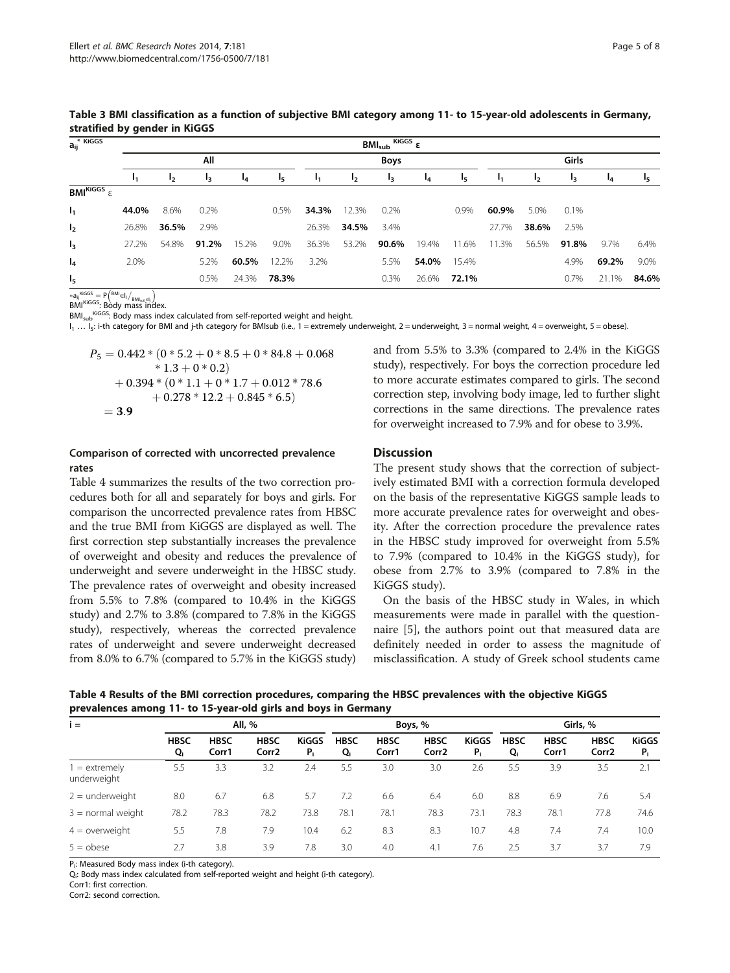| $a_{ij}^*$ Kiggs                   | $BMl_{sub}$ Kiggs $\epsilon$ |         |       |       |                       |       |       |                |       |       |       |       |         |       |                       |  |
|------------------------------------|------------------------------|---------|-------|-------|-----------------------|-------|-------|----------------|-------|-------|-------|-------|---------|-------|-----------------------|--|
|                                    |                              |         | All   |       |                       |       |       | <b>Boys</b>    |       |       | Girls |       |         |       |                       |  |
|                                    | ι1                           | $_{12}$ | I3    | 14    | <b>I</b> <sub>5</sub> | ι,    | 12    | I <sub>3</sub> | $I_4$ | 15    | ι,    | 12    | $_{13}$ | $I_4$ | <b>I</b> <sub>5</sub> |  |
| BMI <sup>KiGGS</sup> $\varepsilon$ |                              |         |       |       |                       |       |       |                |       |       |       |       |         |       |                       |  |
| $I_1$                              | 44.0%                        | 8.6%    | 0.2%  |       | 0.5%                  | 34.3% | 12.3% | 0.2%           |       | 0.9%  | 60.9% | 5.0%  | 0.1%    |       |                       |  |
| I <sub>2</sub>                     | 26.8%                        | 36.5%   | 2.9%  |       |                       | 26.3% | 34.5% | 3.4%           |       |       | 27.7% | 38.6% | 2.5%    |       |                       |  |
| $I_3$                              | 27.2%                        | 54.8%   | 91.2% | 15.2% | 9.0%                  | 36.3% | 53.2% | 90.6%          | 19.4% | 11.6% | 11.3% | 56.5% | 91.8%   | 9.7%  | 6.4%                  |  |
| $I_4$                              | 2.0%                         |         | 5.2%  | 60.5% | 12.2%                 | 3.2%  |       | 5.5%           | 54.0% | 15.4% |       |       | 4.9%    | 69.2% | 9.0%                  |  |
| I <sub>5</sub>                     |                              |         | 0.5%  | 24.3% | 78.3%                 |       |       | 0.3%           | 26.6% | 72.1% |       |       | 0.7%    | 21.1% | 84.6%                 |  |

<span id="page-4-0"></span>Table 3 BMI classification as a function of subjective BMI category among 11- to 15-year-old adolescents in Germany, stratified by gender in KiGGS

 $*$ a<sub>ij</sub> KiGGS =  $P\left(\frac{BMI}{EMI_{sub}}I/\frac{BMI_{sub}I}{BMI_{sub}I}\right)$  $BMI^{KiGGS}$ : Body mass index.

BMI<sub>sub</sub>KiGGS: Body mass index calculated from self-reported weight and height.

I<sub>1</sub> ... I<sub>5</sub>: i-th category for BMI and j-th category for BMIsub (i.e., 1 = extremely underweight, 2 = underweight, 3 = normal weight, 4 = overweight, 5 = obese).

$$
P_5 = 0.442 * (0 * 5.2 + 0 * 8.5 + 0 * 84.8 + 0.068* 1.3 + 0 * 0.2)+ 0.394 * (0 * 1.1 + 0 * 1.7 + 0.012 * 78.6+ 0.278 * 12.2 + 0.845 * 6.5)= 3.9
$$

## Comparison of corrected with uncorrected prevalence rates

Table 4 summarizes the results of the two correction procedures both for all and separately for boys and girls. For comparison the uncorrected prevalence rates from HBSC and the true BMI from KiGGS are displayed as well. The first correction step substantially increases the prevalence of overweight and obesity and reduces the prevalence of underweight and severe underweight in the HBSC study. The prevalence rates of overweight and obesity increased from 5.5% to 7.8% (compared to 10.4% in the KiGGS study) and 2.7% to 3.8% (compared to 7.8% in the KiGGS study), respectively, whereas the corrected prevalence rates of underweight and severe underweight decreased from 8.0% to 6.7% (compared to 5.7% in the KiGGS study)

and from 5.5% to 3.3% (compared to 2.4% in the KiGGS study), respectively. For boys the correction procedure led to more accurate estimates compared to girls. The second correction step, involving body image, led to further slight corrections in the same directions. The prevalence rates for overweight increased to 7.9% and for obese to 3.9%.

## **Discussion**

The present study shows that the correction of subjectively estimated BMI with a correction formula developed on the basis of the representative KiGGS sample leads to more accurate prevalence rates for overweight and obesity. After the correction procedure the prevalence rates in the HBSC study improved for overweight from 5.5% to 7.9% (compared to 10.4% in the KiGGS study), for obese from 2.7% to 3.9% (compared to 7.8% in the KiGGS study).

On the basis of the HBSC study in Wales, in which measurements were made in parallel with the questionnaire [\[5](#page-7-0)], the authors point out that measured data are definitely needed in order to assess the magnitude of misclassification. A study of Greek school students came

Table 4 Results of the BMI correction procedures, comparing the HBSC prevalences with the objective KiGGS prevalences among 11- to 15-year-old girls and boys in Germany

|                              | -                 |                      |                                  |                       |                   |                      |                                  |                       |                   |                      |                      |                       |  |
|------------------------------|-------------------|----------------------|----------------------------------|-----------------------|-------------------|----------------------|----------------------------------|-----------------------|-------------------|----------------------|----------------------|-----------------------|--|
| $i =$                        |                   |                      | All, %                           |                       |                   |                      | Boys, %                          |                       | Girls, %          |                      |                      |                       |  |
|                              | <b>HBSC</b><br>Qi | <b>HBSC</b><br>Corr1 | <b>HBSC</b><br>Corr <sub>2</sub> | <b>KiGGS</b><br>$P_i$ | <b>HBSC</b><br>Qi | <b>HBSC</b><br>Corr1 | <b>HBSC</b><br>Corr <sub>2</sub> | <b>KiGGS</b><br>$P_i$ | <b>HBSC</b><br>Q, | <b>HBSC</b><br>Corr1 | <b>HBSC</b><br>Corr2 | <b>KiGGS</b><br>$P_i$ |  |
| $=$ extremely<br>underweight | 5.5               | 3.3                  | 3.2                              | 2.4                   | 5.5               | 3.0                  | 3.0                              | 2.6                   | 5.5               | 3.9                  | 3.5                  | 2.1                   |  |
| $2 =$ underweight            | 8.0               | 6.7                  | 6.8                              | 5.7                   | 7.2               | 6.6                  | 6.4                              | 6.0                   | 8.8               | 6.9                  | 7.6                  | 5.4                   |  |
| $3 =$ normal weight          | 78.2              | 78.3                 | 78.2                             | 73.8                  | 78.1              | 78.1                 | 78.3                             | 73.1                  | 78.3              | 78.1                 | 77.8                 | 74.6                  |  |
| $4 =$ overweight             | 5.5               | 7.8                  | 7.9                              | 10.4                  | 6.2               | 8.3                  | 8.3                              | 10.7                  | 4.8               | 7.4                  | 7.4                  | 10.0                  |  |
| $5 =$ obese                  | 2.7               | 3.8                  | 3.9                              | 7.8                   | 3.0               | 4.0                  | 4.1                              | 7.6                   | 2.5               | 3.7                  | 3.7                  | 7.9                   |  |

P<sub>i</sub>: Measured Body mass index (i-th category).

Qi : Body mass index calculated from self-reported weight and height (i-th category).

Corr1: first correction.

Corr2: second correction.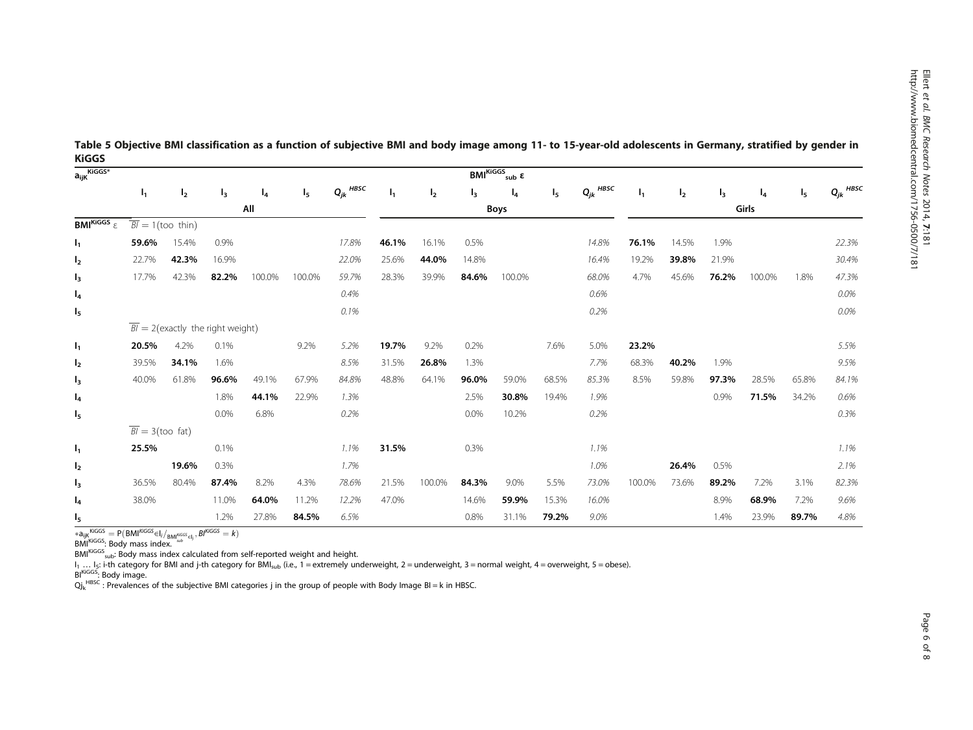Ellert

et al. BMC Research Notes

2014, 7:181

| a <sub>ijK</sub> KiGGS*            | $BMI^{KiGGS}{}_{sub}$ ε       |                                               |       |        |                |               |       |                |             |        |       |               |                |                |       |        |                |               |
|------------------------------------|-------------------------------|-----------------------------------------------|-------|--------|----------------|---------------|-------|----------------|-------------|--------|-------|---------------|----------------|----------------|-------|--------|----------------|---------------|
|                                    | $\mathbf{I}_1$                | I <sub>2</sub>                                | $I_3$ | $I_4$  | I <sub>5</sub> | $Q_{jk}$ HBSC | $I_1$ | I <sub>2</sub> | $I_3$       | $I_4$  | I5.   | $Q_{jk}$ HBSC | I <sub>1</sub> | I <sub>2</sub> | $l_3$ | $I_4$  | I <sub>5</sub> | $Q_{jk}$ HBSC |
|                                    |                               |                                               |       | All    |                |               |       |                | <b>Boys</b> |        |       |               |                |                |       | Girls  |                |               |
| BMI <sup>KiGGS</sup> $\varepsilon$ |                               | $\overline{BI} = 1$ (too thin)                |       |        |                |               |       |                |             |        |       |               |                |                |       |        |                |               |
| $I_1$                              | 59.6%                         | 15.4%                                         | 0.9%  |        |                | 17.8%         | 46.1% | 16.1%          | 0.5%        |        |       | 14.8%         | 76.1%          | 14.5%          | 1.9%  |        |                | 22.3%         |
| I <sub>2</sub>                     | 22.7%                         | 42.3%                                         | 16.9% |        |                | 22.0%         | 25.6% | 44.0%          | 14.8%       |        |       | 16.4%         | 19.2%          | 39.8%          | 21.9% |        |                | 30.4%         |
| $I_3$                              | 17.7%                         | 42.3%                                         | 82.2% | 100.0% | 100.0%         | 59.7%         | 28.3% | 39.9%          | 84.6%       | 100.0% |       | 68.0%         | 4.7%           | 45.6%          | 76.2% | 100.0% | 1.8%           | 47.3%         |
| $I_4$                              |                               |                                               |       |        |                | 0.4%          |       |                |             |        |       | 0.6%          |                |                |       |        |                | $0.0\%$       |
| I <sub>5</sub>                     |                               |                                               |       |        |                | 0.1%          |       |                |             |        |       | 0.2%          |                |                |       |        |                | 0.0%          |
|                                    |                               | $\overline{BI}$ = 2(exactly the right weight) |       |        |                |               |       |                |             |        |       |               |                |                |       |        |                |               |
| $\mathsf{I}_1$                     | 20.5%                         | 4.2%                                          | 0.1%  |        | 9.2%           | 5.2%          | 19.7% | 9.2%           | 0.2%        |        | 7.6%  | 5.0%          | 23.2%          |                |       |        |                | 5.5%          |
| I <sub>2</sub>                     | 39.5%                         | 34.1%                                         | 1.6%  |        |                | 8.5%          | 31.5% | 26.8%          | 1.3%        |        |       | 7.7%          | 68.3%          | 40.2%          | 1.9%  |        |                | 9.5%          |
| $I_3$                              | 40.0%                         | 61.8%                                         | 96.6% | 49.1%  | 67.9%          | 84.8%         | 48.8% | 64.1%          | 96.0%       | 59.0%  | 68.5% | 85.3%         | 8.5%           | 59.8%          | 97.3% | 28.5%  | 65.8%          | 84.1%         |
| $I_4$                              |                               |                                               | 1.8%  | 44.1%  | 22.9%          | 1.3%          |       |                | 2.5%        | 30.8%  | 19.4% | 1.9%          |                |                | 0.9%  | 71.5%  | 34.2%          | 0.6%          |
| I <sub>5</sub>                     |                               |                                               | 0.0%  | 6.8%   |                | 0.2%          |       |                | $0.0\%$     | 10.2%  |       | 0.2%          |                |                |       |        |                | 0.3%          |
|                                    | $\overline{BI} = 3$ (too fat) |                                               |       |        |                |               |       |                |             |        |       |               |                |                |       |        |                |               |
| $\mathsf{I}_1$                     | 25.5%                         |                                               | 0.1%  |        |                | 1.1%          | 31.5% |                | 0.3%        |        |       | 1.1%          |                |                |       |        |                | 1.1%          |
| I <sub>2</sub>                     |                               | 19.6%                                         | 0.3%  |        |                | 1.7%          |       |                |             |        |       | 1.0%          |                | 26.4%          | 0.5%  |        |                | 2.1%          |
| $I_3$                              | 36.5%                         | 80.4%                                         | 87.4% | 8.2%   | 4.3%           | 78.6%         | 21.5% | 100.0%         | 84.3%       | 9.0%   | 5.5%  | 73.0%         | 100.0%         | 73.6%          | 89.2% | 7.2%   | 3.1%           | 82.3%         |
| $I_4$                              | 38.0%                         |                                               | 11.0% | 64.0%  | 11.2%          | 12.2%         | 47.0% |                | 14.6%       | 59.9%  | 15.3% | 16.0%         |                |                | 8.9%  | 68.9%  | 7.2%           | 9.6%          |
| I <sub>5</sub>                     |                               |                                               | 1.2%  | 27.8%  | 84.5%          | 6.5%          |       |                | 0.8%        | 31.1%  | 79.2% | 9.0%          |                |                | 1.4%  | 23.9%  | 89.7%          | 4.8%          |

<span id="page-5-0"></span>Table 5 Objective BMI classification as a function of subjective BMI and body image among 11- to 15-year-old adolescents in Germany, stratified by gender in KiGGS

∗a<sub>ijK</sub><sup>KiGGS</sup> = P(BMI<sup>KiGGS</sup>∈I<sub>i</sub>/<sub>BMI</sub>‱<sub>selj</sub>, BI<sup>KiGGS</sup> = k)<br>BMI<sup>KiGGS</sup>: Body mass index.

 $BM<sub>KIGGS</sub>$ <sub>sub</sub>: Body mass index calculated from self-reported weight and height.

I<sub>1</sub> … I<sub>5</sub>: i-th category for BMI and j-th category for BMI<sub>sub</sub> (i.e., 1 = extremely underweight, 2 = underweight, 3 = normal weight, 4 = overweight, 5 = obese).<br>Bl<sup>KiGGS</sup>: Body image.

 $Qj_k^{\text{HBSC}}$  : Prevalences of the subjective BMI categories j in the group of people with Body Image BI = k in HBSC.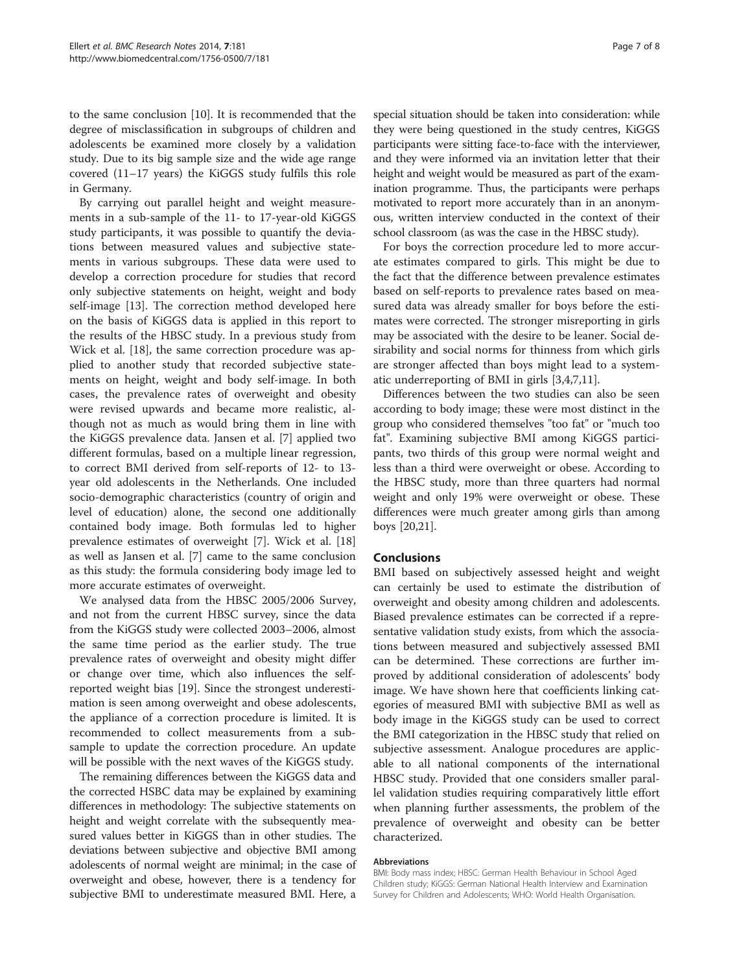to the same conclusion [[10\]](#page-7-0). It is recommended that the degree of misclassification in subgroups of children and adolescents be examined more closely by a validation study. Due to its big sample size and the wide age range covered (11–17 years) the KiGGS study fulfils this role in Germany.

By carrying out parallel height and weight measurements in a sub-sample of the 11- to 17-year-old KiGGS study participants, it was possible to quantify the deviations between measured values and subjective statements in various subgroups. These data were used to develop a correction procedure for studies that record only subjective statements on height, weight and body self-image [[13](#page-7-0)]. The correction method developed here on the basis of KiGGS data is applied in this report to the results of the HBSC study. In a previous study from Wick et al. [[18\]](#page-7-0), the same correction procedure was applied to another study that recorded subjective statements on height, weight and body self-image. In both cases, the prevalence rates of overweight and obesity were revised upwards and became more realistic, although not as much as would bring them in line with the KiGGS prevalence data. Jansen et al. [[7\]](#page-7-0) applied two different formulas, based on a multiple linear regression, to correct BMI derived from self-reports of 12- to 13 year old adolescents in the Netherlands. One included socio-demographic characteristics (country of origin and level of education) alone, the second one additionally contained body image. Both formulas led to higher prevalence estimates of overweight [[7\]](#page-7-0). Wick et al. [[18](#page-7-0)] as well as Jansen et al. [\[7](#page-7-0)] came to the same conclusion as this study: the formula considering body image led to more accurate estimates of overweight.

We analysed data from the HBSC 2005/2006 Survey, and not from the current HBSC survey, since the data from the KiGGS study were collected 2003–2006, almost the same time period as the earlier study. The true prevalence rates of overweight and obesity might differ or change over time, which also influences the selfreported weight bias [\[19\]](#page-7-0). Since the strongest underestimation is seen among overweight and obese adolescents, the appliance of a correction procedure is limited. It is recommended to collect measurements from a subsample to update the correction procedure. An update will be possible with the next waves of the KiGGS study.

The remaining differences between the KiGGS data and the corrected HSBC data may be explained by examining differences in methodology: The subjective statements on height and weight correlate with the subsequently measured values better in KiGGS than in other studies. The deviations between subjective and objective BMI among adolescents of normal weight are minimal; in the case of overweight and obese, however, there is a tendency for subjective BMI to underestimate measured BMI. Here, a

special situation should be taken into consideration: while they were being questioned in the study centres, KiGGS participants were sitting face-to-face with the interviewer, and they were informed via an invitation letter that their height and weight would be measured as part of the examination programme. Thus, the participants were perhaps motivated to report more accurately than in an anonymous, written interview conducted in the context of their school classroom (as was the case in the HBSC study).

For boys the correction procedure led to more accurate estimates compared to girls. This might be due to the fact that the difference between prevalence estimates based on self-reports to prevalence rates based on measured data was already smaller for boys before the estimates were corrected. The stronger misreporting in girls may be associated with the desire to be leaner. Social desirability and social norms for thinness from which girls are stronger affected than boys might lead to a systematic underreporting of BMI in girls [\[3](#page-7-0),[4](#page-7-0),[7](#page-7-0),[11](#page-7-0)].

Differences between the two studies can also be seen according to body image; these were most distinct in the group who considered themselves "too fat" or "much too fat". Examining subjective BMI among KiGGS participants, two thirds of this group were normal weight and less than a third were overweight or obese. According to the HBSC study, more than three quarters had normal weight and only 19% were overweight or obese. These differences were much greater among girls than among boys [\[20,21](#page-7-0)].

## Conclusions

BMI based on subjectively assessed height and weight can certainly be used to estimate the distribution of overweight and obesity among children and adolescents. Biased prevalence estimates can be corrected if a representative validation study exists, from which the associations between measured and subjectively assessed BMI can be determined. These corrections are further improved by additional consideration of adolescents' body image. We have shown here that coefficients linking categories of measured BMI with subjective BMI as well as body image in the KiGGS study can be used to correct the BMI categorization in the HBSC study that relied on subjective assessment. Analogue procedures are applicable to all national components of the international HBSC study. Provided that one considers smaller parallel validation studies requiring comparatively little effort when planning further assessments, the problem of the prevalence of overweight and obesity can be better characterized.

#### Abbreviations

BMI: Body mass index; HBSC: German Health Behaviour in School Aged Children study; KiGGS: German National Health Interview and Examination Survey for Children and Adolescents; WHO: World Health Organisation.